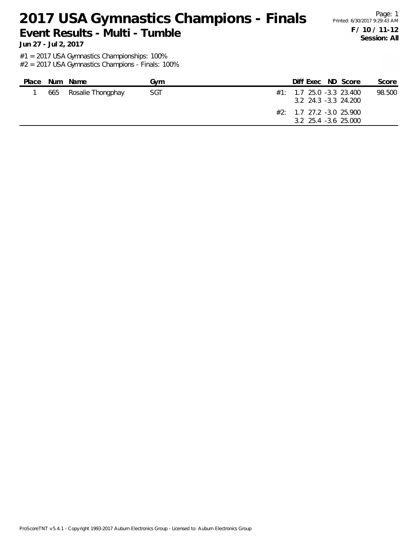## 2017 USA Gymnastics Champions - Finals Printed: 6/30/2017 9:29:43 AM

#### **Event Results - Multi - Tumble**

Page: 1 **F / 10 / 11-12 Session: All**

**Jun 27 - Jul 2, 2017**

#1 = 2017 USA Gymnastics Championships: 100%

| Place | Num Name              | Gvm | Diff Exec ND Score                                                                                        |  | Score  |
|-------|-----------------------|-----|-----------------------------------------------------------------------------------------------------------|--|--------|
|       | 665 Rosalie Thongphay | SGT | $\#1:$ 1.7 25.0 -3.3 23.400<br>3.2 24.3 -3.3 24.200<br>$#2: 1.7 27.2 -3.0 25.900$<br>3.2 25.4 -3.6 25.000 |  | 98.500 |
|       |                       |     |                                                                                                           |  |        |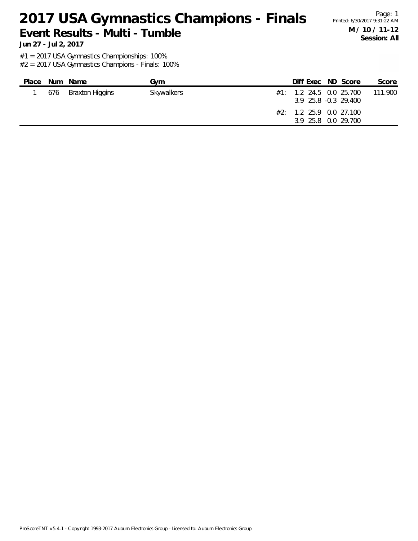# 2017 USA Gymnastics Champions - Finals Printed: 6/30/2017 9:31:22 AM

### **Event Results - Multi - Tumble**

**Jun 27 - Jul 2, 2017**

#1 = 2017 USA Gymnastics Championships: 100%

#2 = 2017 USA Gymnastics Champions - Finals: 100%

| Place | Num Name            | Gvm        | Diff Exec ND Score                                                                                    |  | Score   |
|-------|---------------------|------------|-------------------------------------------------------------------------------------------------------|--|---------|
|       | 676 Braxton Higgins | Skywalkers | #1: 1.2 24.5 0.0 25.700<br>3.9 25.8 -0.3 29.400<br>$\#2$ : 1.2 25.9 0.0 27.100<br>3.9 25.8 0.0 29.700 |  | 111.900 |
|       |                     |            |                                                                                                       |  |         |

Page: 1 **M / 10 / 11-12 Session: All**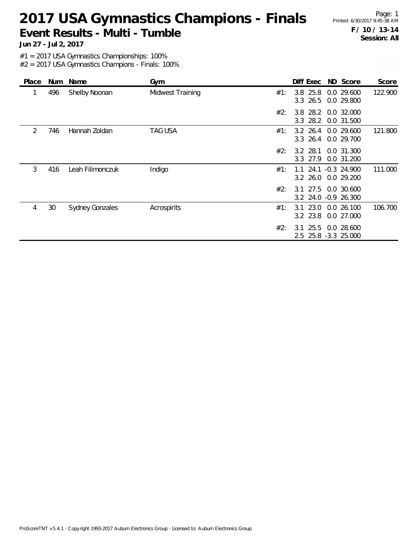#### 2017 USA Gymnastics Champions - Finals Printed: 6/30/2017 9:45:38 AM **Event Results - Multi - Tumble**

Page: 1 **F / 10 / 13-14 Session: All**

**Jun 27 - Jul 2, 2017**

#1 = 2017 USA Gymnastics Championships: 100%

| Place | Num | Name                   | Gym                     |     | Diff Exec                 | ND Score                                    | Score   |
|-------|-----|------------------------|-------------------------|-----|---------------------------|---------------------------------------------|---------|
|       | 496 | Shelby Noonan          | <b>Midwest Training</b> | #1: | 3.8 25.8<br>3.3 26.5      | 0.0 29.600<br>0.0 29.800                    | 122.900 |
|       |     |                        |                         | #2: |                           | 3.8 28.2 0.0 32.000<br>3.3 28.2 0.0 31.500  |         |
| 2     | 746 | Hannah Zoldan          | <b>TAG USA</b>          | #1: | $3.2 \, 26.4$<br>3.3 26.4 | 0.0 29.600<br>0.0 29.700                    | 121.800 |
|       |     |                        |                         | #2: | $3.2$ 28.1<br>3.3 27.9    | 0.0 31.300<br>0.0 31.200                    |         |
| 3     | 416 | Leah Filimonczuk       | Indigo                  | #1: | 24.1<br>1.1<br>3.2 26.0   | $-0.3$ 24.900<br>0.0 29.200                 | 111.000 |
|       |     |                        |                         | #2: |                           | 3.1 27.5 0.0 30.600<br>3.2 24.0 -0.9 26.300 |         |
| 4     | 30  | <b>Sydney Gonzales</b> | Acrospirits             | #1: | 23.0<br>3.1<br>3.2 23.8   | 0.0 26.100<br>0.0 27.000                    | 106.700 |
|       |     |                        |                         | #2: | 25.5<br>3.1               | 0.0 28.600<br>2.5 25.8 -3.3 25.000          |         |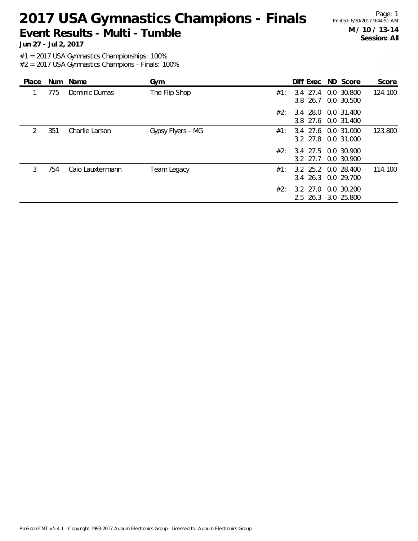#### 2017 USA Gymnastics Champions - Finals Printed: 6/30/2017 9:44:51 AM **Event Results - Multi - Tumble**

Page: 1 **M / 10 / 13-14 Session: All**

**Jun 27 - Jul 2, 2017**

#1 = 2017 USA Gymnastics Championships: 100%

| Place         | Num | Name             | Gym               |     | Diff Exec ND Score                          |            | Score   |
|---------------|-----|------------------|-------------------|-----|---------------------------------------------|------------|---------|
|               | 775 | Dominic Dumas    | The Flip Shop     | #1: | 3.4 27.4 0.0 30.800<br>3.8 26.7 0.0 30.500  |            | 124.100 |
|               |     |                  |                   | #2: | 3.4 28.0 0.0 31.400<br>3.8 27.6 0.0 31.400  |            |         |
| $\mathcal{L}$ | 351 | Charlie Larson   | Gypsy Flyers - MG | #1: | 3.4 27.6 0.0 31.000<br>3.2 27.8 0.0 31.000  |            | 123.800 |
|               |     |                  |                   | #2: | 3.4 27.5 0.0 30.900<br>$3.2$ 27.7           | 0.0 30.900 |         |
| 3             | 754 | Caio Lauxtermann | Team Legacy       | #1: | 3.2 25.2 0.0 28.400<br>3.4 26.3 0.0 29.700  |            | 114.100 |
|               |     |                  |                   | #2∶ | 3.2 27.0 0.0 30.200<br>2.5 26.3 -3.0 25.800 |            |         |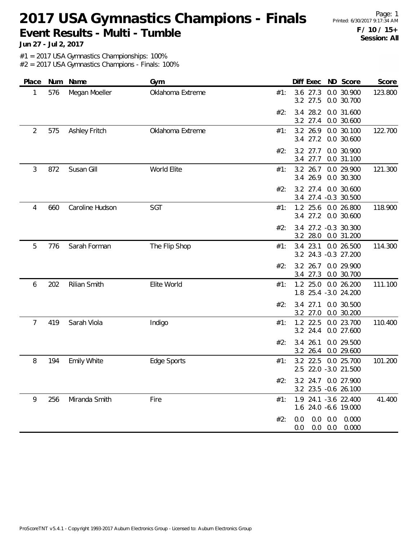#### 2017 USA Gymnastics Champions - Finals Printed: 6/30/2017 9:17:34 AM **Event Results - Multi - Tumble**

Page: 1 **F / 10 / 15+ Session: All**

**Jun 27 - Jul 2, 2017**

#1 = 2017 USA Gymnastics Championships: 100%

| Place          | Num | Name                 | Gym              |     | Diff Exec               | ND Score                                           | Score   |
|----------------|-----|----------------------|------------------|-----|-------------------------|----------------------------------------------------|---------|
| 1              | 576 | Megan Moeller        | Oklahoma Extreme | #1: | 3.6 27.3<br>3.2 27.5    | 0.0 30.900<br>0.0 30.700                           | 123.800 |
|                |     |                      |                  | #2: | 3.4 28.2<br>3.2 27.4    | 0.0 31.600<br>0.0 30.600                           |         |
| $\overline{2}$ | 575 | <b>Ashley Fritch</b> | Oklahoma Extreme | #1: | 3.2 26.9<br>3.4 27.2    | 0.0 30.100<br>0.0 30.600                           | 122.700 |
|                |     |                      |                  | #2: | 3.2 27.7<br>3.4 27.7    | 0.0 30.900<br>0.0 31.100                           |         |
| 3              | 872 | Susan Gill           | World Elite      | #1: | 3.2 26.7<br>3.4 26.9    | 0.0 29.900<br>0.0 30.300                           | 121.300 |
|                |     |                      |                  | #2: | 3.2 27.4                | 0.0 30.600<br>3.4 27.4 -0.3 30.500                 |         |
| 4              | 660 | Caroline Hudson      | SGT              | #1: | 1.2 25.6<br>3.4 27.2    | 0.0 26.800<br>0.0 30.600                           | 118.900 |
|                |     |                      |                  | #2: | 3.2 28.0                | 3.4 27.2 -0.3 30.300<br>0.0 31.200                 |         |
| 5              | 776 | Sarah Forman         | The Flip Shop    | #1: | 3.4 23.1                | 0.0 26.500<br>3.2 24.3 -0.3 27.200                 | 114.300 |
|                |     |                      |                  | #2: | $3.2$ 26.7<br>3.4 27.3  | 0.0 29.900<br>0.0 30.700                           |         |
| 6              | 202 | Rilian Smith         | Elite World      | #1: | $1.2$ 25.0              | 0.0 26.200<br>1.8 25.4 -3.0 24.200                 | 111.100 |
|                |     |                      |                  | #2: | 3.4 27.1<br>3.2 27.0    | 0.0 30.500<br>0.0 30.200                           |         |
| 7              | 419 | Sarah Viola          | Indigo           | #1: | 1.2 22.5<br>3.2 24.4    | 0.0 23.700<br>0.0 27.600                           | 110.400 |
|                |     |                      |                  | #2: | 26.1<br>3.4<br>3.2 26.4 | 0.0 29.500<br>0.0 29.600                           |         |
| 8              | 194 | <b>Emily White</b>   | Edge Sports      | #1: | 3.2 22.5                | 0.0 25.700<br>2.5 22.0 -3.0 21.500                 | 101.200 |
|                |     |                      |                  | #2: |                         | 3.2 24.7 0.0 27.900<br>3.2 23.5 -0.6 26.100        |         |
| 9              | 256 | Miranda Smith        | Fire             | #1: |                         | 1.9 24.1 -3.6 22.400<br>1.6 24.0 -6.6 19.000       | 41.400  |
|                |     |                      |                  | #2: | 0.0<br>0.0              | $0.0\quad 0.0$<br>0.000<br>$0.0\quad 0.0$<br>0.000 |         |